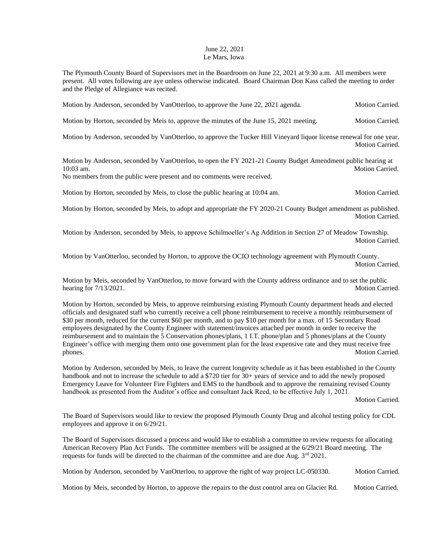## June 22, 2021 Le Mars, Iowa

The Plymouth County Board of Supervisors met in the Boardroom on June 22, 2021 at 9:30 a.m. All members were present. All votes following are aye unless otherwise indicated. Board Chairman Don Kass called the meeting to order and the Pledge of Allegiance was recited.

Motion by Anderson, seconded by VanOtterloo, to approve the June 22, 2021 agenda. Motion Carried.

Motion by Horton, seconded by Meis to, approve the minutes of the June 15, 2021 meeting. Motion Carried.

Motion by Anderson, seconded by VanOtterloo, to approve the Tucker Hill Vineyard liquor license renewal for one year. Motion Carried.

Motion by Anderson, seconded by VanOtterloo, to open the FY 2021-21 County Budget Amendment public hearing at 10:03 am. Motion Carried.

No members from the public were present and no comments were received.

Motion by Horton, seconded by Meis, to close the public hearing at 10:04 am. Motion Carried.

Motion by Horton, seconded by Meis, to adopt and appropriate the FY 2020-21 County Budget amendment as published. Motion Carried.

Motion by Anderson, seconded by Meis, to approve Schilmoeller's Ag Addition in Section 27 of Meadow Township. Motion Carried.

Motion by VanOtterloo, seconded by Horton, to approve the OCIO technology agreement with Plymouth County. Motion Carried.

Motion by Meis, seconded by VanOtterloo, to move forward with the County address ordinance and to set the public hearing for  $7/13/2021$ . Motion Carried.

Motion by Horton, seconded by Meis, to approve reimbursing existing Plymouth County department heads and elected officials and designated staff who currently receive a cell phone reimbursement to receive a monthly reimbursement of \$30 per month, reduced for the current \$60 per month, and to pay \$10 per month for a max. of 15 Secondary Road employees designated by the County Engineer with statement/invoices attached per month in order to receive the reimbursement and to maintain the 5 Conservation phones/plans, 1 I.T. phone/plan and 5 phones/plans at the County Engineer's office with merging them onto one government plan for the least expensive rate and they must receive free phones. Motion Carried.

Motion by Anderson, seconded by Meis, to leave the current longevity schedule as it has been established in the County handbook and not to increase the schedule to add a \$720 tier for 30+ years of service and to add the newly proposed Emergency Leave for Volunteer Fire Fighters and EMS to the handbook and to approve the remaining revised County handbook as presented from the Auditor's office and consultant Jack Reed, to be effective July 1, 2021.

Motion Carried.

The Board of Supervisors would like to review the proposed Plymouth County Drug and alcohol testing policy for CDL employees and approve it on 6/29/21.

The Board of Supervisors discussed a process and would like to establish a committee to review requests for allocating American Recovery Plan Act Funds. The committee members will be assigned at the 6/29/21 Board meeting. The requests for funds will be directed to the chairman of the committee and are due Aug.  $3^{rd}$  2021.

Motion by Anderson, seconded by VanOtterloo, to approve the right of way project LC-050330. Motion Carried.

Motion by Meis, seconded by Horton, to approve the repairs to the dust control area on Glacier Rd. Motion Carried.